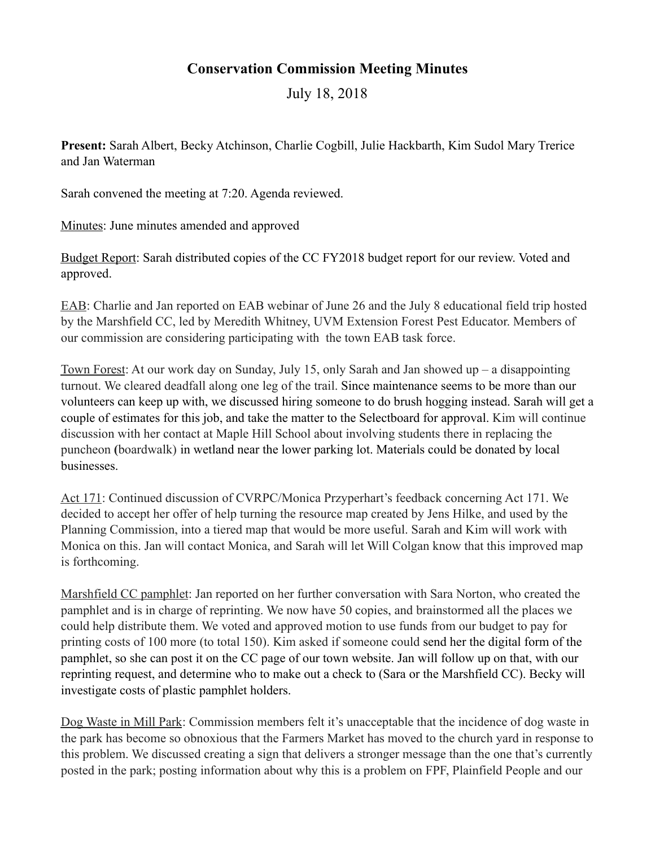## **Conservation Commission Meeting Minutes**

July 18, 2018

**Present:** Sarah Albert, Becky Atchinson, Charlie Cogbill, Julie Hackbarth, Kim Sudol Mary Trerice and Jan Waterman

Sarah convened the meeting at 7:20. Agenda reviewed.

Minutes: June minutes amended and approved

Budget Report: Sarah distributed copies of the CC FY2018 budget report for our review. Voted and approved.

EAB: Charlie and Jan reported on EAB webinar of June 26 and the July 8 educational field trip hosted by the Marshfield CC, led by Meredith Whitney, UVM Extension Forest Pest Educator. Members of our commission are considering participating with the town EAB task force.

Town Forest: At our work day on Sunday, July 15, only Sarah and Jan showed up – a disappointing turnout. We cleared deadfall along one leg of the trail. Since maintenance seems to be more than our volunteers can keep up with, we discussed hiring someone to do brush hogging instead. Sarah will get a couple of estimates for this job, and take the matter to the Selectboard for approval. Kim will continue discussion with her contact at Maple Hill School about involving students there in replacing the puncheon **(**boardwalk) in wetland near the lower parking lot. Materials could be donated by local businesses.

Act 171: Continued discussion of CVRPC/Monica Przyperhart's feedback concerning Act 171. We decided to accept her offer of help turning the resource map created by Jens Hilke, and used by the Planning Commission, into a tiered map that would be more useful. Sarah and Kim will work with Monica on this. Jan will contact Monica, and Sarah will let Will Colgan know that this improved map is forthcoming.

Marshfield CC pamphlet: Jan reported on her further conversation with Sara Norton, who created the pamphlet and is in charge of reprinting. We now have 50 copies, and brainstormed all the places we could help distribute them. We voted and approved motion to use funds from our budget to pay for printing costs of 100 more (to total 150). Kim asked if someone could send her the digital form of the pamphlet, so she can post it on the CC page of our town website. Jan will follow up on that, with our reprinting request, and determine who to make out a check to (Sara or the Marshfield CC). Becky will investigate costs of plastic pamphlet holders.

Dog Waste in Mill Park: Commission members felt it's unacceptable that the incidence of dog waste in the park has become so obnoxious that the Farmers Market has moved to the church yard in response to this problem. We discussed creating a sign that delivers a stronger message than the one that's currently posted in the park; posting information about why this is a problem on FPF, Plainfield People and our